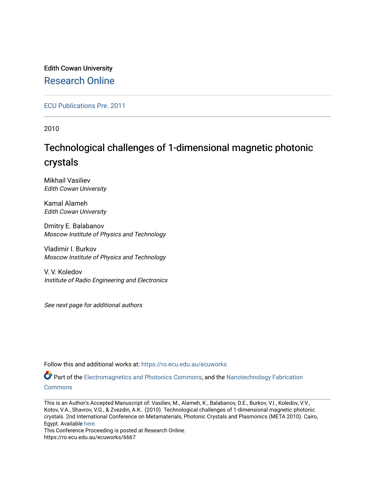## Edith Cowan University [Research Online](https://ro.ecu.edu.au/)

[ECU Publications Pre. 2011](https://ro.ecu.edu.au/ecuworks)

2010

## Technological challenges of 1-dimensional magnetic photonic crystals

Mikhail Vasiliev Edith Cowan University

Kamal Alameh Edith Cowan University

Dmitry E. Balabanov Moscow Institute of Physics and Technology

Vladimir I. Burkov Moscow Institute of Physics and Technology

V. V. Koledov Institute of Radio Engineering and Electronics

See next page for additional authors

Follow this and additional works at: [https://ro.ecu.edu.au/ecuworks](https://ro.ecu.edu.au/ecuworks?utm_source=ro.ecu.edu.au%2Fecuworks%2F6667&utm_medium=PDF&utm_campaign=PDFCoverPages) 

Part of the [Electromagnetics and Photonics Commons,](http://network.bepress.com/hgg/discipline/271?utm_source=ro.ecu.edu.au%2Fecuworks%2F6667&utm_medium=PDF&utm_campaign=PDFCoverPages) and the Nanotechnology Fabrication **[Commons](http://network.bepress.com/hgg/discipline/273?utm_source=ro.ecu.edu.au%2Fecuworks%2F6667&utm_medium=PDF&utm_campaign=PDFCoverPages)** 

This is an Author's Accepted Manuscript of: Vasiliev, M., Alameh, K., Balabanov, D.E., Burkov, V.I., Koledov, V.V., Kotov, V.A., Shavrov, V.G., & Zvezdin, A.K.. (2010). Technological challenges of 1-dimensional magnetic photonic crystals. 2nd International Conference on Metamaterials, Photonic Crystals and Plasmonics (META 2010). Cairo, Egypt. Available [here.](http://metaconferences.org/ocs/index.php/META18/META18#.Wijv1a2y7WY)

This Conference Proceeding is posted at Research Online. https://ro.ecu.edu.au/ecuworks/6667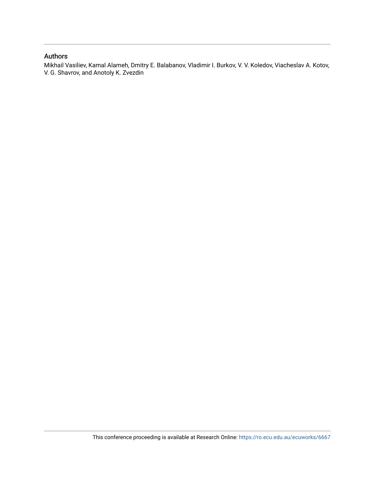## Authors

Mikhail Vasiliev, Kamal Alameh, Dmitry E. Balabanov, Vladimir I. Burkov, V. V. Koledov, Viacheslav A. Kotov, V. G. Shavrov, and Anotoly K. Zvezdin